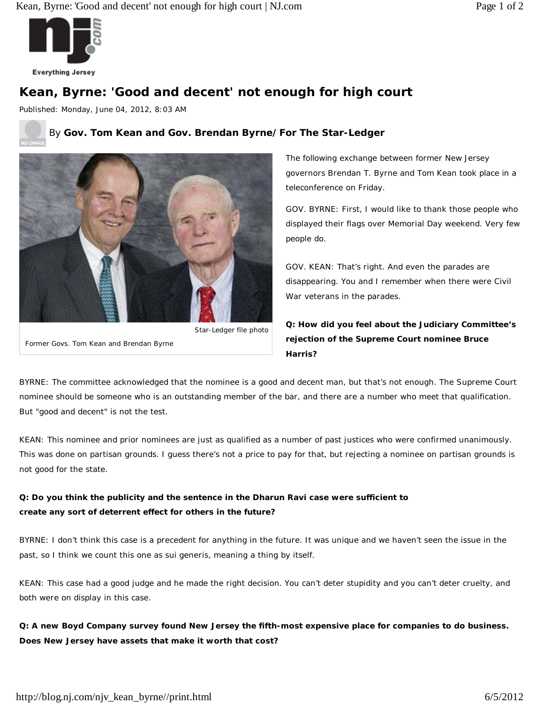

**Everything Jersey** 

# **Kean, Byrne: 'Good and decent' not enough for high court**

Published: Monday, June 04, 2012, 8:03 AM

### By **Gov. Tom Kean and Gov. Brendan Byrne/For The Star-Ledger**



Star-Ledger file photo

Former Govs. Tom Kean and Brendan Byrne

*The following exchange between former New Jersey governors Brendan T. Byrne and Tom Kean took place in a teleconference on Friday.*

GOV. BYRNE: First, I would like to thank those people who displayed their flags over Memorial Day weekend. Very few people do.

GOV. KEAN: That's right. And even the parades are disappearing. You and I remember when there were Civil War veterans in the parades.

**Q: How did you feel about the Judiciary Committee's rejection of the Supreme Court nominee Bruce Harris?**

BYRNE: The committee acknowledged that the nominee is a good and decent man, but that's not enough. The Supreme Court nominee should be someone who is an outstanding member of the bar, and there are a number who meet that qualification. But "good and decent" is not the test.

KEAN: This nominee and prior nominees are just as qualified as a number of past justices who were confirmed unanimously. This was done on partisan grounds. I guess there's not a price to pay for that, but rejecting a nominee on partisan grounds is not good for the state.

## **Q: Do you think the publicity and the sentence in the Dharun Ravi case were sufficient to create any sort of deterrent effect for others in the future?**

BYRNE: I don't think this case is a precedent for anything in the future. It was unique and we haven't seen the issue in the past, so I think we count this one as sui generis, meaning a thing by itself.

KEAN: This case had a good judge and he made the right decision. You can't deter stupidity and you can't deter cruelty, and both were on display in this case.

**Q: A new Boyd Company survey found New Jersey the fifth-most expensive place for companies to do business. Does New Jersey have assets that make it worth that cost?**